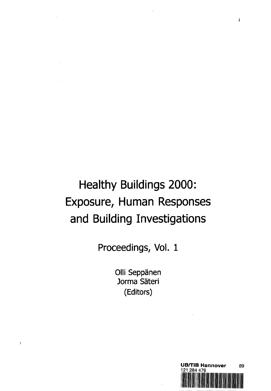# Healthy Buildings 2000: Exposure, Human Responses and Building Investigations

**Proceedings, Vol. 1**

**Olli Seppänen Jorma Sateri (Editors)**

ĭ



 $\dot{i}$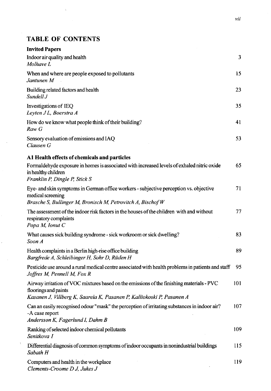## TABLE OF CONTENTS

 $\bar{\chi}$ 

 $\bar{v}$ 

| <b>Invited Papers</b>                                                                                                                                                                      |     |
|--------------------------------------------------------------------------------------------------------------------------------------------------------------------------------------------|-----|
| Indoor air quality and health<br>Molhave L                                                                                                                                                 | 3   |
| When and where are people exposed to pollutants<br>Jantunen M                                                                                                                              | 15  |
| Building related factors and health<br>Sundell J                                                                                                                                           | 23  |
| Investigations of IEQ<br>Leyten JL, Boerstra A                                                                                                                                             | 35  |
| How do we know what people think of their building?<br>Raw G                                                                                                                               | 41  |
| Sensory evaluation of emissions and IAQ<br>Clausen G                                                                                                                                       | 53  |
| A1 Health effects of chemicals and particles                                                                                                                                               |     |
| Formaldehyde exposure in homes is associated with increased levels of exhaled nitric oxide<br>in healthy children<br>Franklin P, Dingle P, Stick S                                         | 65  |
| Eye- and skin symptoms in German office workers - subjective perception vs. objective<br>medical screening<br>Brasche S, Bullinger M, Bronisch M, Petrovitch A, Bischof W                  | 71  |
| The assessment of the indoor risk factors in the houses of the children with and without<br>respiratory complaints<br>Popa M, Ionut C                                                      | 77  |
| What causes sick building syndrome - sick workroom or sick dwelling?<br>Soon A                                                                                                             | 83  |
| Health complaints in a Berlin high-rise office building<br>Bargfrede A, Schleibinger H, Sohr D, Rüden H                                                                                    | 89  |
| Pesticide use around a rural medical centre associated with health problems in patients and staff<br>Joffres M, Pennell M, Fox R                                                           | 95  |
| Airway irritation of VOC mixtures based on the emissions of the finishing materials - PVC<br>floorings and paints<br>Kasanen J, Villberg K, Saarela K, Pasanen P, Kalliokoski P, Pasanen A | 101 |
| Can an easily recognised odour "mask" the perception of irritating substances in indoor air?<br>-A case report<br>Andersson K, Fagerlund I, Dahm B                                         | 107 |
| Ranking of selected indoor chemical pollutants<br>Senitkova I                                                                                                                              | 109 |
| Differential diagnosis of common symptoms of indoor occupants in nonindustrial buildings<br>Sabath H                                                                                       | 115 |
| Computers and health in the workplace<br>Clements-Croome D J, Jukes J                                                                                                                      | 119 |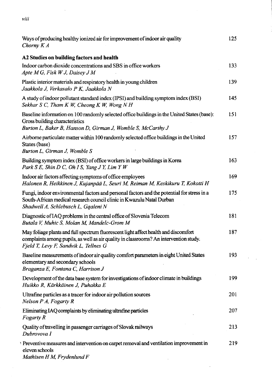$viii$ 

| Ways of producing healthy ionized air for improvement of indoor air quality<br>Chorny $K A$                                                                                                                           | 125 |
|-----------------------------------------------------------------------------------------------------------------------------------------------------------------------------------------------------------------------|-----|
| A2 Studies on building factors and health                                                                                                                                                                             |     |
| Indoor carbon dioxide concentrations and SBS in office workers<br>Apte M G, Fisk W J, Daisey J M                                                                                                                      | 133 |
| Plastic interior materials and respiratory health in young children<br>Jaakkola J, Verkasalo P K, Jaakkola N                                                                                                          | 139 |
| A study of indoor pollutant standard index (IPSI) and building symptom index (BSI)<br>Sekhar S C, Tham K W, Cheong K W, Wong N H                                                                                      | 145 |
| Baseline information on 100 randomly selected office buildings in the United States (base):<br>Gross building characteristics<br>Burton L, Baker B, Hanson D, Girman J, Womble S, McCarthy J                          | 151 |
| Airborne particulate matter within 100 randomly selected office buildings in the United<br>States (base)<br>Burton L, Girman J, Womble S                                                                              | 157 |
| Building symptom index (BSI) of office workers in large buildings in Korea<br>Park S E, Shin D C, Oh I S, Yang J Y, Lim Y W                                                                                           | 163 |
| Indoor air factors affecting symptoms of office employees<br>Halonen R, Heikkinen J, Kujanpää L, Seuri M, Reiman M, Keskikuru T, Kokotti H                                                                            | 169 |
| Fungi, indoor environmental factors and personal factors and the potential for stress in a<br>South-African medical research council clinic in Kwazulu Natal Durban<br>Shadwell A, Schlebusch L, Gqaleni N            | 175 |
| Diagnostic of IAQ problems in the central office of Slovenia Telecom<br>Butala V, Muhic S, Molan M, Mandelc-Grom M                                                                                                    | 181 |
| May foliage plants and full spectrum fluorescent light affect health and discomfort<br>complaints among pupils, as well as air quality in classrooms? An intervention study.<br>Fjeld T, Levy F, Sandvik L, Tellnes G | 187 |
| Baseline measurements of indoor air quality comfort parameters in eight United States<br>elementary and secondary schools<br>Braganza E, Fontana C, Harrison J                                                        | 193 |
| Development of the data base system for investigations of indoor climate in buildings<br>Huikko R, Kärkkäinen J, Puhakka E                                                                                            | 199 |
| Ultrafine particles as a tracer for indoor air pollution sources<br>Nelson P A, Fogarty R                                                                                                                             | 201 |
| Eliminating IAQ complaints by eliminating ultrafine particles<br>Fogarty R                                                                                                                                            | 207 |
| Quality of travelling in passenger carriages of Slovak railways<br>Dubrovova I                                                                                                                                        | 213 |
| Preventive measures and intervention on carpet removal and ventilation improvement in<br>eleven schools<br>Mathisen H M, Frydenlund F                                                                                 | 219 |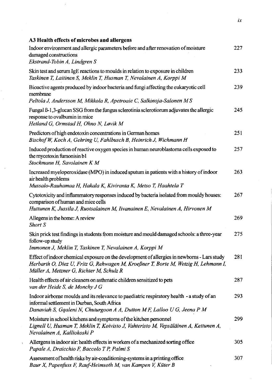| A3 Health effects of microbes and allergens                                                                                                                                                                                   |     |
|-------------------------------------------------------------------------------------------------------------------------------------------------------------------------------------------------------------------------------|-----|
| Indoor environment and allergic parameters before and after renovation of moisture<br>damaged constructions<br>Ekstrand-Tobin A, Lindgren S                                                                                   | 227 |
| Skin test and serum IgE reactions to moulds in relation to exposure in children<br>Taskinen T, Laitinen S, Meklin T, Husman T, Nevalainen A, Korppi M                                                                         | 233 |
| Bioactive agents produced by indoor bacteria and fungi affecting the eukaryotic cell<br>membrane                                                                                                                              | 239 |
| Peltola J, Andersson M, Mikkola R, Apetroaie C, Salkinoja-Salonen M S                                                                                                                                                         |     |
| Fungal ß-1,3-glucan SSG from the fungus sclerotinia sclerotiorum adjuvates the allergic<br>response to ovalbumin in mice<br>Hetland G, Ormstad H, Ohno N, Løvik M                                                             | 245 |
| Predictors of high endotoxin concentrations in German homes<br>Bischof W, Koch A, Gehring U, Fahlbusch B, Heinrich J, Wichmann H                                                                                              | 251 |
| Induced production of reactive oxygen species in human neuroblastoma cells exposed to<br>the mycotoxin fumonisin b1<br>Stockmann H, Savolainen K M                                                                            | 257 |
| Increased myeloperoxidase (MPO) in induced sputum in patients with a history of indoor<br>air health problems<br>Mussalo-Rauhamaa H, Hakala K, Kiviranta K, Metso T, Haahtela T                                               | 263 |
| Cytotoxicity and inflammatory responses induced by bacteria isolated from mouldy houses:<br>comparison of human and mice cells<br>Huttunen K, Jussila J, Ruotsalainen M, Iivanainen E, Nevalainen A, Hirvonen M               | 267 |
| Allegens in the home: A review<br>Short S                                                                                                                                                                                     | 269 |
| Skin prick test findings in students from moisture and mould damaged schools: a three-year<br>follow-up study                                                                                                                 | 275 |
| Immonen J, Meklin T, Taskinen T, Nevalainen A, Korppi M                                                                                                                                                                       |     |
| Effect of indoor chemical exposure on the development of allergies in newborns - Lars study<br>Herbarth O, Diez U, Fritz G, Rehwagen M, Kroeßner T, Borte M, Wetzig H, Lehmann I,<br>Müller A, Metzner G, Richter M, Schulz R | 281 |
| Health effects of air cleaners on asthmatic children sensitized to pets<br>van der Heide S, de Monchy J G                                                                                                                     | 287 |
| Indoor airborne moulds and its relevance to paediatric respiratory health - a study of an<br>informal settlement in Durban, South Africa<br>Danaviah S, Ggaleni N, Chuturgoon A A, Dutton M F, Lalloo U G, Jeena P M          | 293 |
| Moisture in school kitchens and symptoms of the kitchen personnel<br>Lignell U, Husman T, Meklin T, Koivisto J, Vahteristo M, Vepsäläinen A, Kettunen A,<br>Nevalainen A, Kalliokoski P                                       | 299 |
| Allergens in indoor air: health effects in workers of a mechanized sorting office<br>Papale A, Draicchio F, Baccolo T P, Palmi S                                                                                              | 305 |
| Assessment of health risks by air-conditioning-systems in a printing office<br>Baur X, Papenfuss F, Rauf-Heimsoth M, van Kampen V, Küter B                                                                                    | 307 |

 $ix$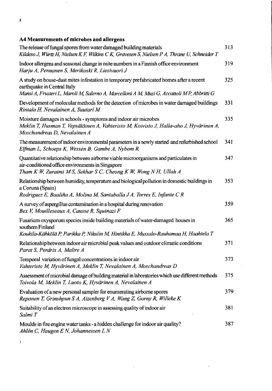#### $\boldsymbol{x}$

### **A4 Measurements of microbes and allergens**

 $\bar{\nu}$ 

| The release of fungal spores from water damaged building materials<br>Kildeso J, Würtz H, Nielsen K F, Wilkins C K, Gravesen S, Nielsen P A, Thrane U, Schneider T                                                    | 313 |
|-----------------------------------------------------------------------------------------------------------------------------------------------------------------------------------------------------------------------|-----|
| Indoor allergens and seasonal change in mite numbers in a Finnish office environment<br>Harju A, Pennanen S, Merikoski R, Liesivuori J                                                                                | 319 |
| A study on house-dust mites infestation in temporary prefabricated homes after a recent<br>earthquake in Central Italy<br>Mansi A, Frusteri L, Maroli M, Salerno A, Marcelloni A M, Muzi G, Accattoli M P, Abbritti G | 325 |
| Development of molecular methods for the detection of microbes in water damaged buildings<br>Rintala H, Nevalainen A, Suutari M                                                                                       | 331 |
| Moisture damages in schools - symptoms and indoor air microbes<br>Meklin T, Husman T, Vepsäläinen A, Vahteristo M, Koivisto J, Halla-aho J, Hyvärinen A,<br>Moschandreas D, Nevalainen A                              | 335 |
| The measurement of indoor environmental parameters in a newly started and refurbished school<br>Elfman L, Schoeps K, Wessén B, Gambe A, Nybom R                                                                       | 341 |
| Quantitative relationship between airborne viable microorganisms and particulates in<br>air-conditioned office environments in Singapore<br>Tham K W, Zuraimi M S, Sekhar S C, Cheong K W, Wong N H, Ullah A          | 347 |
| Relationship between humidity, temperature and biological pollution in domestic buildings in<br>a Coruna (Spain)<br>Rodriguez E, Baaliña A, Molina M, Santaballa J A, Torres E, Infante C R                           | 353 |
| A survey of aspergillus contamination in a hospital during renovation<br>Bex V, Mouilleseaux A, Causse R, Squinazi F                                                                                                  | 359 |
| Fusarium oxysporum species inside building materials of water-damaged houses in<br>southern Finland<br>Koukila-Kähkölä P, Parikka P, Nikulin M, Hintikka E, Mussalo-Rauhamaa H, Haahtela T                            | 365 |
| Relationship between indoor air microbial peak values and outdoor climatic conditions<br>Parat S, Perdrix A, Maître A                                                                                                 | 371 |
| Temporal variation of fungal concentrations in indoor air<br>Vahteristo M, Hyvärinen A, Meklin T, Nevalainen A, Moschandreas D                                                                                        | 373 |
| Assessment of microbial damage of building material in laboratories which use different methods<br>Toivola M, Meklin T, Luoto K, Hyvärinen A, Nevalainen A                                                            | 375 |
| Evaluation of a new personal sampler for enumerating airborne spores<br>Reponen T, Grinshpun S A, Aizenberg V A, Wang Z, Gorny R, Willeke K                                                                           | 379 |
| Suitability of an electron microscope in assessing quality of indoor air<br>Salmi T                                                                                                                                   | 381 |
| Moulds in fire engine water tanks - a hidden challenge for indoor air quality?<br>Ahlén C, Haugen E N, Johannessen L N                                                                                                | 387 |

 $\bar{\bar{z}}$ 

 $\overline{a}$ 

 $\chi$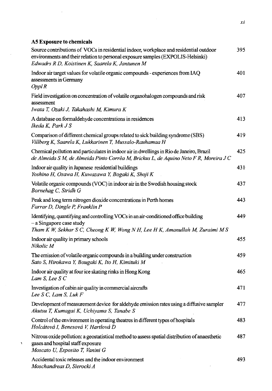#### **A5 Exposure to chemicals**

 $\bar{\mathcal{A}}$ 

 $\chi$ 

 $\mathcal{L}_{\mathcal{A}}$ 

| Source contributions of VOCs in residential indoor, workplace and residential outdoor<br>environments and their relation to personal exposure samples (EXPOLIS-Helsinki)<br>Edwadrs R D, Koistinen K, Saarela K, Jantunen M | 395  |
|-----------------------------------------------------------------------------------------------------------------------------------------------------------------------------------------------------------------------------|------|
| Indoor air target values for volatile organic compounds - experiences from IAQ<br>assessments in Germany<br>OpplR                                                                                                           | 401  |
| Field investigation on concentration of volatile organohalogen compounds and risk<br>assessment<br>Iwata T, Ozaki J, Takahashi M, Kimura K                                                                                  | 407  |
| A database on formaldehyde concentrations in residences<br>Ikeda K, Park J S                                                                                                                                                | 413  |
| Comparison of different chemical groups related to sick building syndrome (SBS)<br>Villberg K, Saarela K, Lukkarinen T, Mussalo-Rauhamaa H                                                                                  | 419  |
| Chemical pollution and particulates in indoor air in dwellings in Rio de Janeiro, Brazil<br>de Almeida S M, de Almeida Pinto Corrêa M, Brickus L, de Aquino Neto F R, Moreira J C                                           | 425  |
| Indoor air quality in Japanese residential buildings<br>Yoshino H, Osawa H, Kuwazawa Y, Bogaki K, Shoji K                                                                                                                   | 431  |
| Volatile organic compounds (VOC) in indoor air in the Swedish housing stock<br>Bornehag C, Stridh G                                                                                                                         | 437  |
| Peak and long term nitrogen dioxide concentrations in Perth homes<br>Farrar D, Dingle P, Franklin P                                                                                                                         | 443. |
| Identifying, quantifying and controlling VOCs in an air-conditioned office building<br>$-a$ Singapore case study<br>Tham K W, Sekhar S C, Cheong K W, Wong N H, Lee H K, Amanullah M, Zuraimi M S                           | 449  |
| Indoor air quality in primary schools<br>Nikolic M                                                                                                                                                                          | 455  |
| The emission of volatile organic compounds in a building under construction<br>Sato S, Hirokawa Y, Bougaki K, Ito H, Kimituki M                                                                                             | 459  |
| Indoor air quality at four ice skating rinks in Hong Kong<br>Lam S, Lee S C                                                                                                                                                 | 465  |
| Investigation of cabin air quality in commercial aircrafts<br>Lee S C, Lam S, Luk F                                                                                                                                         | 471  |
| Development of measurement device for aldehyde emission rates using a diffusive sampler<br>Akutsu T, Kumagai K, Uchiyama S, Tanabe S                                                                                        | 477  |
| Control of the environment in operating theatres in different types of hospitals<br>Holcátová I, Benesová V, Hartlová D                                                                                                     | 483. |
| Nitrous oxide pollution: a geostatistical method to assess spatial distribution of anaesthetic<br>gases and hospital staff exposure<br>Moscato U, Esposito T, Vanini G                                                      | 487  |
| Accidental toxic releases and the indoor environment<br>Moschandreas D, Sierocki A                                                                                                                                          | 493  |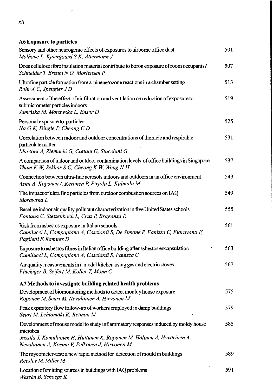### **A6 Exposure to particles** Sensory and other neurogenic effects of exposures to airborne office dust 501 *Molhave L, Kjaergaard S K, Attermann J* Does cellulose fibre insulation material contribute to boron exposure of room occupants? 507 *Schneider T, Breum N O, Mortensen P* Ultrafine particle formation from a-pinene/ozone reactions in a chamber setting 513 *RohrA C, SpenglerJD* Assessment of the effect of air filtration and ventilation on reduction of exposure to 519 submicrometer particles indoors *Jamriska M, Morawska L, Ensor D* Personal exposure to particles 525 *Na G K, Dingle P, Cheong C D* Correlation between indoor and outdoor concentrations of thoracic and respirable 531 particulate matter *Marconi A, Ziemacki G, Cattani G, Stacchini G* A comparison of indoor and outdoor contamination levels of office buildings in Singapore 537 *Tham K W, Sekhar S C, Cheong K W, Wong N H* Connection between ultra-fine aerosols indoors and outdoors in an office environment 543 *Asmi A, Koponen I, Keronen P, Pirjola L, Kulmala M* The impact of ultra fine particles from outdoor combustion sources on IAQ 549 *Morawska L* Baseline indoor air quality pollutant characterization in five United States schools 555 *Fontana C, Stetzenbach L, Cruz P, Braganza E* Risk from asbestos exposure in Italian schools ' 561 *Camilucci L, Campopiano A, Casciardi S, De Simone P, Fanizza C, Fioravanti F, Paglietti F, Ramires D* Exposure to asbestos fibres in Italian office building after asbestos encapsulation 563 *Camilucci L, Campopiano A, Casciardi S, Fanizza C* Air quality measurements in a model kitchen using gas and electric stoves 567 *Fluckiger B, Seifert M, Koller T, Monn C* **A7 Methods to investigate building related health problems** Development of biomonitoring methods to detect mouldy house exposure 575 *Roponen M, Seuri M, Nevalainen A, Hirvonen M* Peak expiratory flow follow-up of workers employed in damp buildings 579 *Seuri M, Lehtomdki K, Reiman M* Development of mouse model to study inflammatory responses induced by moldy house 585 microbes *Jussila J, Komulainen H, Huttunen K, Roponen M, Hdlinen A, Hyvdrinen A, Nevalainen A, Kosma V, Pelkonen J, Hirvonen M* The mycometer-test: a new rapid method for detection of mould in buildings 589

*Reeslev M, Miller M* Location of emitting sources in buildings with IAQ problems 591

*Wessen B, Schoeps K*